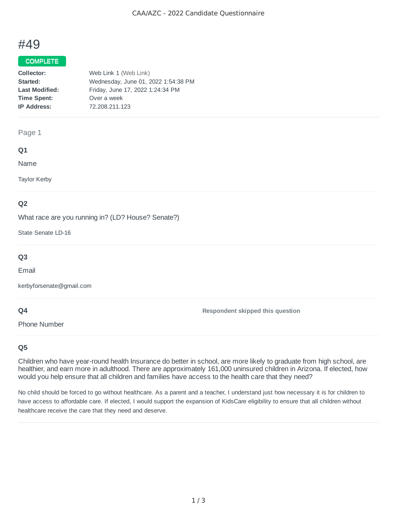# #49

## COMPLETE

| Collector:            | Web Link 1 (Web Link)               |
|-----------------------|-------------------------------------|
| Started:              | Wednesday, June 01, 2022 1:54:38 PM |
| <b>Last Modified:</b> | Friday, June 17, 2022 1:24:34 PM    |
| <b>Time Spent:</b>    | Over a week                         |
| <b>IP Address:</b>    | 72.208.211.123                      |
|                       |                                     |

#### Page 1

#### **Q1**

Name

Taylor Kerby

## **Q2**

What race are you running in? (LD? House? Senate?)

State Senate LD-16

## **Q3**

Email

kerbyforsenate@gmail.com

## **Q4**

Phone Number

**Respondent skipped this question**

## **Q5**

Children who have year-round health Insurance do better in school, are more likely to graduate from high school, are healthier, and earn more in adulthood. There are approximately 161,000 uninsured children in Arizona. If elected, how would you help ensure that all children and families have access to the health care that they need?

No child should be forced to go without healthcare. As a parent and a teacher, I understand just how necessary it is for children to have access to affordable care. If elected, I would support the expansion of KidsCare eligibility to ensure that all children without healthcare receive the care that they need and deserve.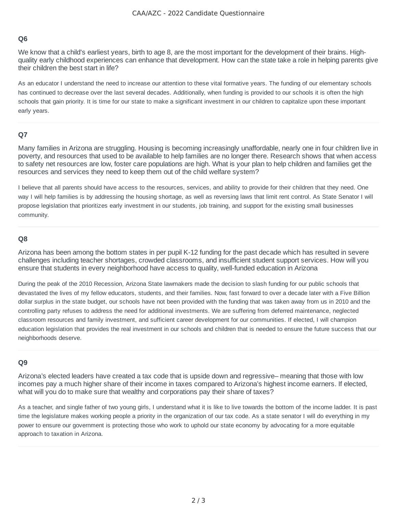## **Q6**

We know that a child's earliest years, birth to age 8, are the most important for the development of their brains. Highquality early childhood experiences can enhance that development. How can the state take a role in helping parents give their children the best start in life?

As an educator I understand the need to increase our attention to these vital formative years. The funding of our elementary schools has continued to decrease over the last several decades. Additionally, when funding is provided to our schools it is often the high schools that gain priority. It is time for our state to make a significant investment in our children to capitalize upon these important early years.

#### **Q7**

Many families in Arizona are struggling. Housing is becoming increasingly unaffordable, nearly one in four children live in poverty, and resources that used to be available to help families are no longer there. Research shows that when access to safety net resources are low, foster care populations are high. What is your plan to help children and families get the resources and services they need to keep them out of the child welfare system?

I believe that all parents should have access to the resources, services, and ability to provide for their children that they need. One way I will help families is by addressing the housing shortage, as well as reversing laws that limit rent control. As State Senator I will propose legislation that prioritizes early investment in our students, job training, and support for the existing small businesses community.

#### **Q8**

Arizona has been among the bottom states in per pupil K-12 funding for the past decade which has resulted in severe challenges including teacher shortages, crowded classrooms, and insufficient student support services. How will you ensure that students in every neighborhood have access to quality, well-funded education in Arizona

During the peak of the 2010 Recession, Arizona State lawmakers made the decision to slash funding for our public schools that devastated the lives of my fellow educators, students, and their families. Now, fast forward to over a decade later with a Five Billion dollar surplus in the state budget, our schools have not been provided with the funding that was taken away from us in 2010 and the controlling party refuses to address the need for additional investments. We are suffering from deferred maintenance, neglected classroom resources and family investment, and sufficient career development for our communities. If elected, I will champion education legislation that provides the real investment in our schools and children that is needed to ensure the future success that our neighborhoods deserve.

#### **Q9**

Arizona's elected leaders have created a tax code that is upside down and regressive– meaning that those with low incomes pay a much higher share of their income in taxes compared to Arizona's highest income earners. If elected, what will you do to make sure that wealthy and corporations pay their share of taxes?

As a teacher, and single father of two young girls, I understand what it is like to live towards the bottom of the income ladder. It is past time the legislature makes working people a priority in the organization of our tax code. As a state senator I will do everything in my power to ensure our government is protecting those who work to uphold our state economy by advocating for a more equitable approach to taxation in Arizona.